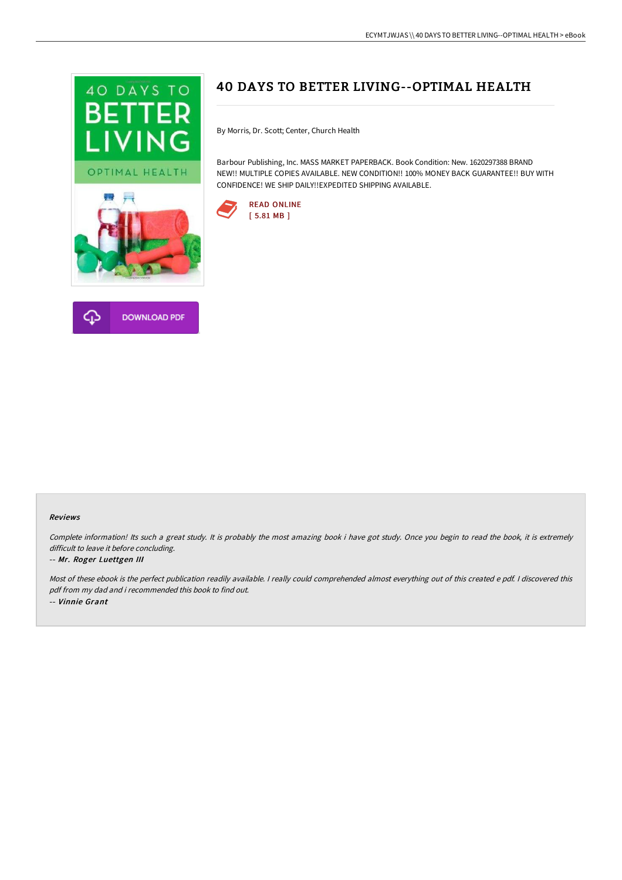



# 40 DAYS TO BETTER LIVING--OPTIMAL HEALTH

By Morris, Dr. Scott; Center, Church Health

Barbour Publishing, Inc. MASS MARKET PAPERBACK. Book Condition: New. 1620297388 BRAND NEW!! MULTIPLE COPIES AVAILABLE. NEW CONDITION!! 100% MONEY BACK GUARANTEE!! BUY WITH CONFIDENCE! WE SHIP DAILY!!EXPEDITED SHIPPING AVAILABLE.



#### Reviews

Complete information! Its such <sup>a</sup> great study. It is probably the most amazing book i have got study. Once you begin to read the book, it is extremely difficult to leave it before concluding.

#### -- Mr. Roger Luettgen III

Most of these ebook is the perfect publication readily available. <sup>I</sup> really could comprehended almost everything out of this created <sup>e</sup> pdf. <sup>I</sup> discovered this pdf from my dad and i recommended this book to find out. -- Vinnie Grant